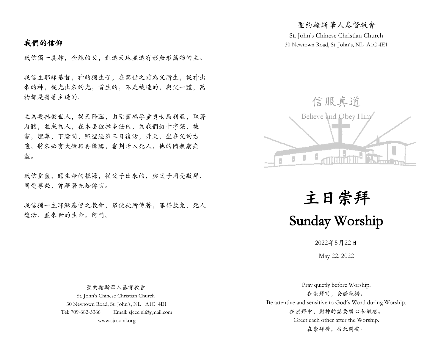# 我們的信仰

我信獨一真神,全能的父,創造天地並造有形無形萬物的主。

我信主耶穌基督,神的獨生子,在萬世之前為父所生,從神出 來的神,從光出來的光,首生的,不是被造的,與父一體,萬 物都是藉著主造的。

主為要拯救世人,從天降臨,由聖靈感孕童貞女馬利亞,取著 肉體,並成為人,在本丟彼拉多任內,為我們釘十字架,被 害,埋葬,下陰間,照聖經第三日復活,升天,坐在父的右 邊,將來必有大榮耀再降臨,審判活人死人,他的國無窮無 盡。

我信聖靈,賜生命的根源,從父子出來的,與父子同受敬拜, 同受尊榮,曾藉著先知傳言。

我信獨一主耶穌基督之教會,眾使徒所傳著,罪得赦免,死人 復活,並來世的生命。阿門。

St. John's Chinese Christian Church 30 Newtown Road, St. John's, NL A1C 4E1

聖約翰斯華人基督教會



主日崇拜 Sunday Worship

2022年5月22日

May 22, 2022

 聖約翰斯華人基督教會 St. John's Chinese Christian Church 30 Newtown Road, St. John's, NL A1C 4E1 Tel: 709-682-5366 Email: sjccc.nl@gmail.com www.sjccc-nl.org

Pray quietly before Worship. 在崇拜前,安靜默禱。 Be attentive and sensitive to God's Word during Worship. 在崇拜中,對神的話要留心和敏感。 Greet each other after the Worship. 在崇拜後, 彼此問安。